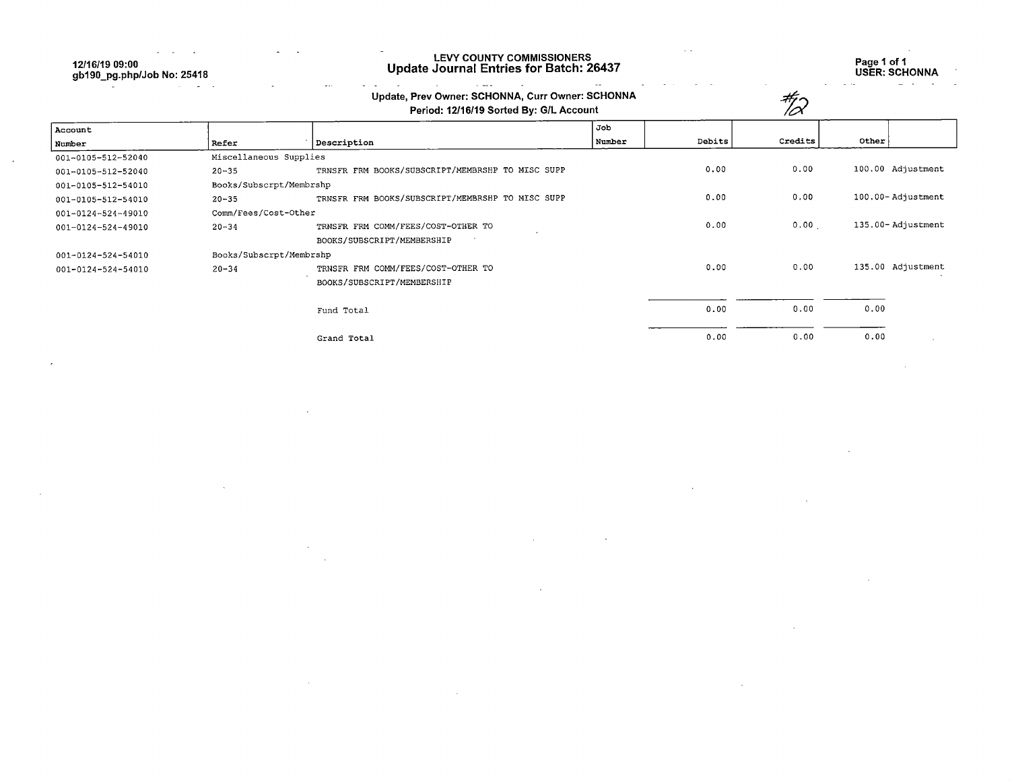| 12/16/19 09:00<br>gb190_pg.php/Job No: 25418 |           | LEVY COUNTY COMMISSIONERS<br>Update Journal Entries for Batch: 26437<br>Update, Prev Owner: SCHONNA, Curr Owner: SCHONNA<br>$\frac{\#}{\mathcal{Q}}$<br>Period: 12/16/19 Sorted By: G/L Account |        |        |         |                   |  |  |
|----------------------------------------------|-----------|-------------------------------------------------------------------------------------------------------------------------------------------------------------------------------------------------|--------|--------|---------|-------------------|--|--|
|                                              |           |                                                                                                                                                                                                 |        |        |         |                   |  |  |
| Account                                      |           |                                                                                                                                                                                                 | Job    |        |         |                   |  |  |
| Number                                       | Refer     | Description                                                                                                                                                                                     | Number | Debits | Credits | Other             |  |  |
| 001-0105-512-52040                           |           | Miscellaneous Supplies                                                                                                                                                                          |        |        |         |                   |  |  |
| 001-0105-512-52040                           | $20 - 35$ | TRNSFR FRM BOOKS/SUBSCRIPT/MEMBRSHP TO MISC SUPP                                                                                                                                                |        | 0.00   | 0.00    | 100.00 Adjustment |  |  |
| 001-0105-512-54010                           |           | Books/Subscrpt/Membrshp                                                                                                                                                                         |        |        |         |                   |  |  |
| 001-0105-512-54010                           | $20 - 35$ | TRNSFR FRM BOOKS/SUBSCRIPT/MEMBRSHP TO MISC SUPP                                                                                                                                                |        | 0.00   | 0.00    | 100.00-Adjustment |  |  |
| 001-0124-524-49010                           |           | Comm/Fees/Cost-Other                                                                                                                                                                            |        |        |         |                   |  |  |
| 001-0124-524-49010                           | $20 - 34$ | TRNSFR FRM COMM/FEES/COST-OTHER TO                                                                                                                                                              |        | 0.00   | 0.00    | 135.00-Adjustment |  |  |
|                                              |           | BOOKS/SUBSCRIPT/MEMBERSHIP                                                                                                                                                                      |        |        |         |                   |  |  |
| 001-0124-524-54010                           |           | Books/Subscrpt/Membrshp                                                                                                                                                                         |        |        |         |                   |  |  |
| 001-0124-524-54010                           | $20 - 34$ | TRNSFR FRM COMM/FEES/COST-OTHER TO                                                                                                                                                              |        | 0.00   | 0.00    | 135.00 Adjustment |  |  |
|                                              |           | BOOKS/SUBSCRIPT/MEMBERSHIP                                                                                                                                                                      |        |        |         |                   |  |  |
|                                              |           | Fund Total                                                                                                                                                                                      |        | 0.00   | 0.00    | 0.00              |  |  |
|                                              |           | Grand Total                                                                                                                                                                                     |        | 0.00   | 0.00    | 0.00              |  |  |

a de la construcción de la construcción de la construcción de la construcción de la construcción de la constru<br>En 1930, el construcción de la construcción de la construcción de la construcción de la construcción de la con

 $\label{eq:2.1} \mathcal{L}(\mathcal{A}) = \mathcal{L}(\mathcal{A}) = \mathcal{L}(\mathcal{A})$ 

 $\label{eq:2.1} \frac{1}{\sqrt{2}}\int_{\mathbb{R}^3}\frac{1}{\sqrt{2}}\left(\frac{1}{\sqrt{2}}\right)^2\frac{1}{\sqrt{2}}\left(\frac{1}{\sqrt{2}}\right)^2\frac{1}{\sqrt{2}}\left(\frac{1}{\sqrt{2}}\right)^2\frac{1}{\sqrt{2}}\left(\frac{1}{\sqrt{2}}\right)^2\frac{1}{\sqrt{2}}\left(\frac{1}{\sqrt{2}}\right)^2\frac{1}{\sqrt{2}}\frac{1}{\sqrt{2}}\frac{1}{\sqrt{2}}\frac{1}{\sqrt{2}}\frac{1}{\sqrt{2}}\frac{1}{\sqrt{2}}$ 

 $\label{eq:2.1} \frac{1}{\sqrt{2}}\int_{\mathbb{R}^3}\frac{1}{\sqrt{2}}\left(\frac{1}{\sqrt{2}}\right)^2\frac{1}{\sqrt{2}}\left(\frac{1}{\sqrt{2}}\right)^2\frac{1}{\sqrt{2}}\left(\frac{1}{\sqrt{2}}\right)^2\frac{1}{\sqrt{2}}\left(\frac{1}{\sqrt{2}}\right)^2.$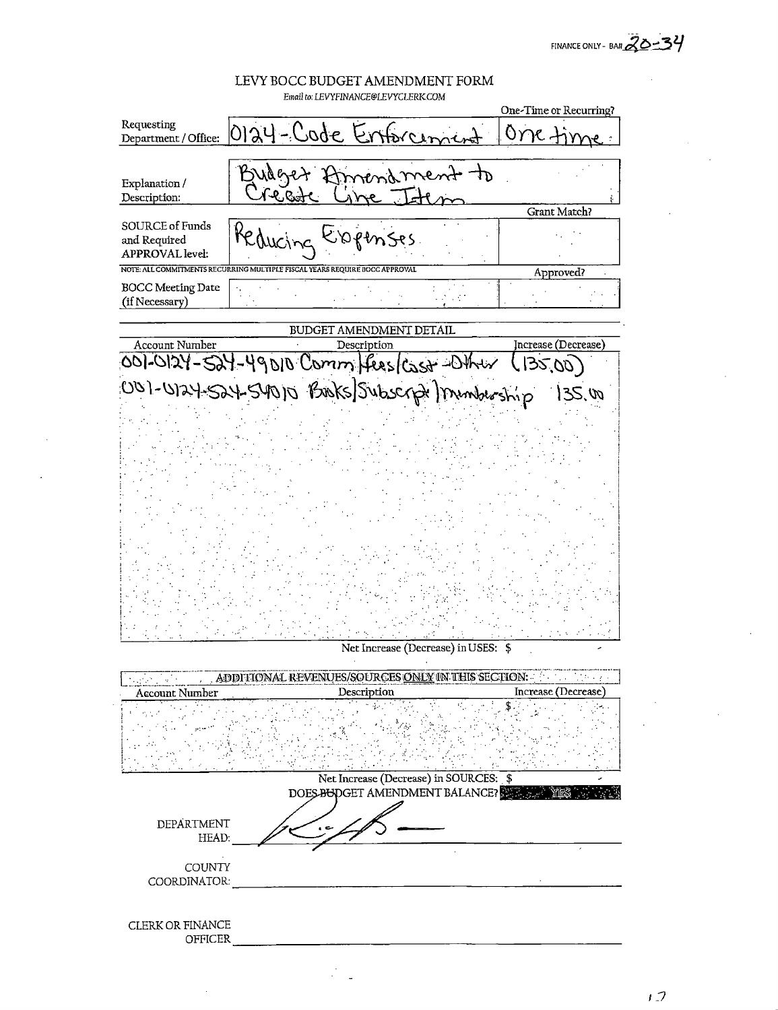FINANCE ONLY - BAR 20-34

 $\overline{a}$ 

J.

 $\mathcal{L}^{\text{max}}$ 

|                                                                                                                                   |                                                   | LEVY BOCC BUDGET AMENDMENT FORM<br>Email to: LEVYFINANCE@LEVYCLERK.COM   |                                |
|-----------------------------------------------------------------------------------------------------------------------------------|---------------------------------------------------|--------------------------------------------------------------------------|--------------------------------|
| Requesting<br>Department / Office:                                                                                                | 0124-Code Entorcina                               |                                                                          | One-Time or Recurring?<br>one. |
| Explanation /<br>Description:                                                                                                     |                                                   | Budget Annendment to                                                     | Grant Match?                   |
| SOURCE of Funds<br>and Required<br>APPROVAL level:<br>NOTE: ALL COMMITMENTS RECURRING MULTIPLE FISCAL YEARS REQUIRE BOCC APPROVAL | Reducing Expenses                                 |                                                                          | Approved?                      |
| <b>BOCC Meeting Date</b><br>(if Necessary)                                                                                        |                                                   |                                                                          |                                |
|                                                                                                                                   |                                                   | <b>BUDGET AMENDMENT DETAIL</b>                                           |                                |
| <b>Account Number</b>                                                                                                             |                                                   | Description                                                              | Increase (Decrease)            |
|                                                                                                                                   |                                                   |                                                                          |                                |
| 007-0124-524-49010 Comm flees/Cost -01/hw (135.00)<br>001-0124-524-54010 Backs/Subscrpt/Mumbership 135.                           |                                                   |                                                                          | 135.00                         |
|                                                                                                                                   |                                                   |                                                                          |                                |
|                                                                                                                                   |                                                   |                                                                          |                                |
|                                                                                                                                   |                                                   | Net Increase (Decrease) in USES: \$                                      |                                |
|                                                                                                                                   | ADDITIONAL REVENUES/SOURCES ONLY IN THIS SECTION: |                                                                          |                                |
| Account Number                                                                                                                    |                                                   | Description                                                              | Increase (Decrease)            |
|                                                                                                                                   |                                                   |                                                                          |                                |
|                                                                                                                                   |                                                   | Net Increase (Decrease) in SOURCES: \$<br>DOES BUDGET AMENDMENT BALANCE? |                                |
| DEPARTMENT<br>HEAD:                                                                                                               |                                                   |                                                                          |                                |
| <b>COUNTY</b><br>COORDINATOR:                                                                                                     |                                                   |                                                                          |                                |
| <b>CLERK OR FINANCE</b><br>OFFICER                                                                                                |                                                   |                                                                          |                                |

 $\ddot{\phantom{a}}$ 

 $\bar{z}$ 

 $12$ 

 $\ddot{\phantom{a}}$